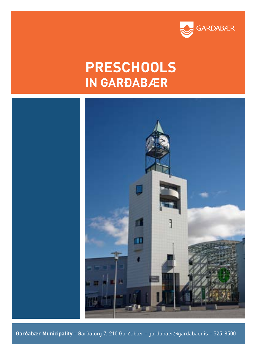

# **PRESCHOOLS IN GARÐABÆR**



**Garðabær Municipality** - Garðatorg 7, 210 Garðabær - gardabaer@gardabaer.is – 525-8500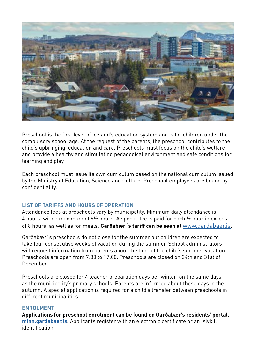

Preschool is the first level of Iceland's education system and is for children under the compulsory school age. At the request of the parents, the preschool contributes to the child's upbringing, education and care. Preschools must focus on the child's welfare and provide a healthy and stimulating pedagogical environment and safe conditions for learning and play.

Each preschool must issue its own curriculum based on the national curriculum issued by the Ministry of Education, Science and Culture. Preschool employees are bound by confidentiality.

# **LIST OF TARIFFS AND HOURS OF OPERATION**

Attendance fees at preschools vary by municipality. Minimum daily attendance is 4 hours, with a maximum of 9½ hours. A special fee is paid for each ½ hour in excess of 8 hours, as well as for meals. **Garðabær´s tariff can be seen at** [www.gardabaer.is](http://www.gardabaer.is)**.**

Garðabær´s preschools do not close for the summer but children are expected to take four consecutive weeks of vacation during the summer. School administrators will request information from parents about the time of the child's summer vacation. Preschools are open from 7:30 to 17:00. Preschools are closed on 24th and 31st of December.

Preschools are closed for 4 teacher preparation days per winter, on the same days as the municipality's primary schools. Parents are informed about these days in the autumn. A special application is required for a child's transfer between preschools in different municipalities.

## **ENROLMENT**

**Applications for preschool enrolment can be found on Garðabær's residents' portal, [minn.gardabaer.is](https://minn.gardabaer.is/login.aspx?ReturnUrl=%2f).** Applicants register with an electronic certificate or an Íslykill identification.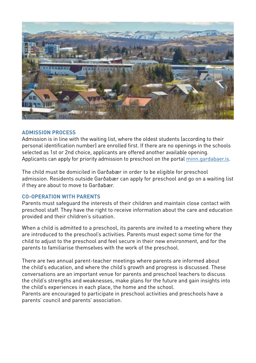

## **ADMISSION PROCESS**

Admission is in line with the waiting list, where the oldest students (according to their personal identification number) are enrolled first. If there are no openings in the schools selected as 1st or 2nd choice, applicants are offered another available opening. Applicants can apply for priority admission to preschool on the portal [minn.gardabaer.is.](https://minn.gardabaer.is/login.aspx?ReturnUrl=%2f)

The child must be domiciled in Garðabær in order to be eligible for preschool admission. Residents outside Garðabær can apply for preschool and go on a waiting list if they are about to move to Garðabær.

# **CO-OPERATION WITH PARENTS**

Parents must safeguard the interests of their children and maintain close contact with preschool staff. They have the right to receive information about the care and education provided and their children's situation.

When a child is admitted to a preschool, its parents are invited to a meeting where they are introduced to the preschool's activities. Parents must expect some time for the child to adjust to the preschool and feel secure in their new environment, and for the parents to familiarise themselves with the work of the preschool.

There are two annual parent-teacher meetings where parents are informed about the child's education, and where the child's growth and progress is discussed. These conversations are an important venue for parents and preschool teachers to discuss the child's strengths and weaknesses, make plans for the future and gain insights into the child's experiences in each place, the home and the school.

Parents are encouraged to participate in preschool activities and preschools have a parents' council and parents' association.